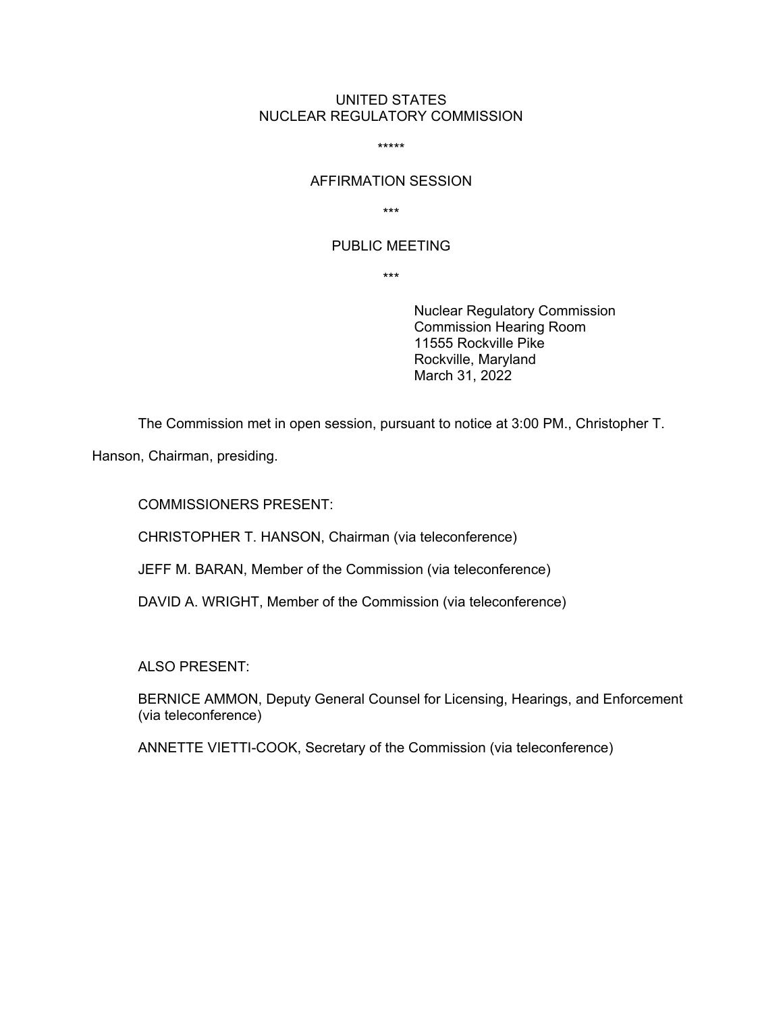### UNITED STATES NUCLEAR REGULATORY COMMISSION

\*\*\*\*\*

#### AFFIRMATION SESSION

\*\*\*

### PUBLIC MEETING

\*\*\*

Nuclear Regulatory Commission Commission Hearing Room 11555 Rockville Pike Rockville, Maryland March 31, 2022

The Commission met in open session, pursuant to notice at 3:00 PM., Christopher T.

Hanson, Chairman, presiding.

COMMISSIONERS PRESENT:

CHRISTOPHER T. HANSON, Chairman (via teleconference)

JEFF M. BARAN, Member of the Commission (via teleconference)

DAVID A. WRIGHT, Member of the Commission (via teleconference)

ALSO PRESENT:

BERNICE AMMON, Deputy General Counsel for Licensing, Hearings, and Enforcement (via teleconference)

ANNETTE VIETTI-COOK, Secretary of the Commission (via teleconference)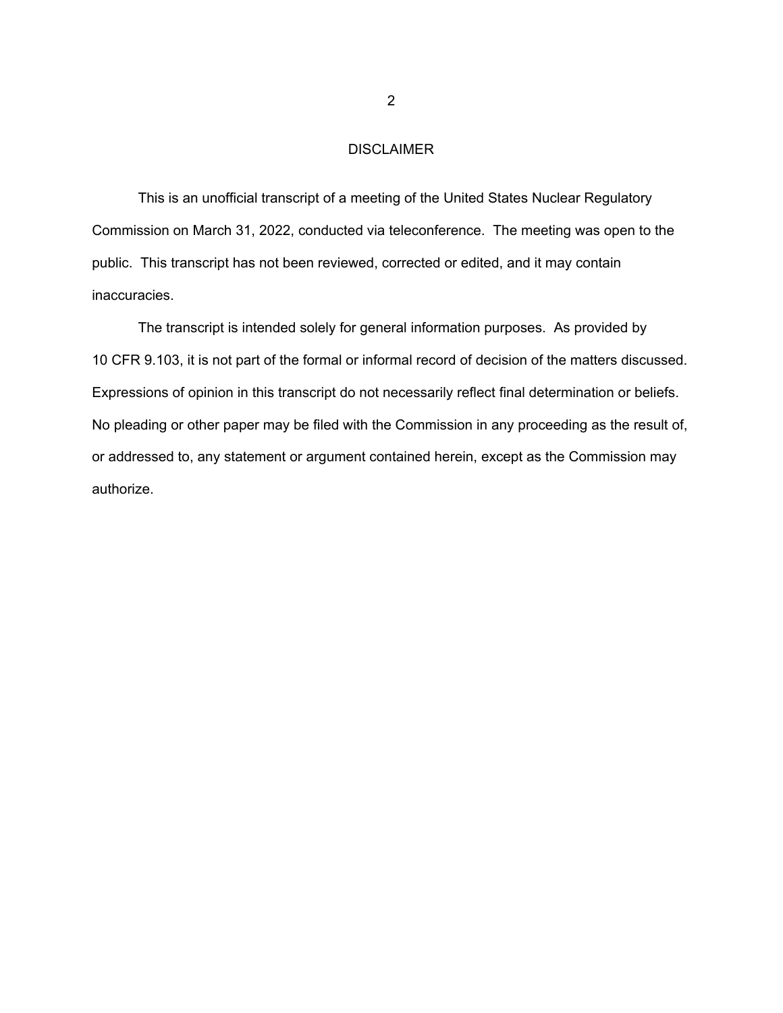## DISCLAIMER

This is an unofficial transcript of a meeting of the United States Nuclear Regulatory Commission on March 31, 2022, conducted via teleconference. The meeting was open to the public. This transcript has not been reviewed, corrected or edited, and it may contain inaccuracies.

The transcript is intended solely for general information purposes. As provided by 10 CFR 9.103, it is not part of the formal or informal record of decision of the matters discussed. Expressions of opinion in this transcript do not necessarily reflect final determination or beliefs. No pleading or other paper may be filed with the Commission in any proceeding as the result of, or addressed to, any statement or argument contained herein, except as the Commission may authorize.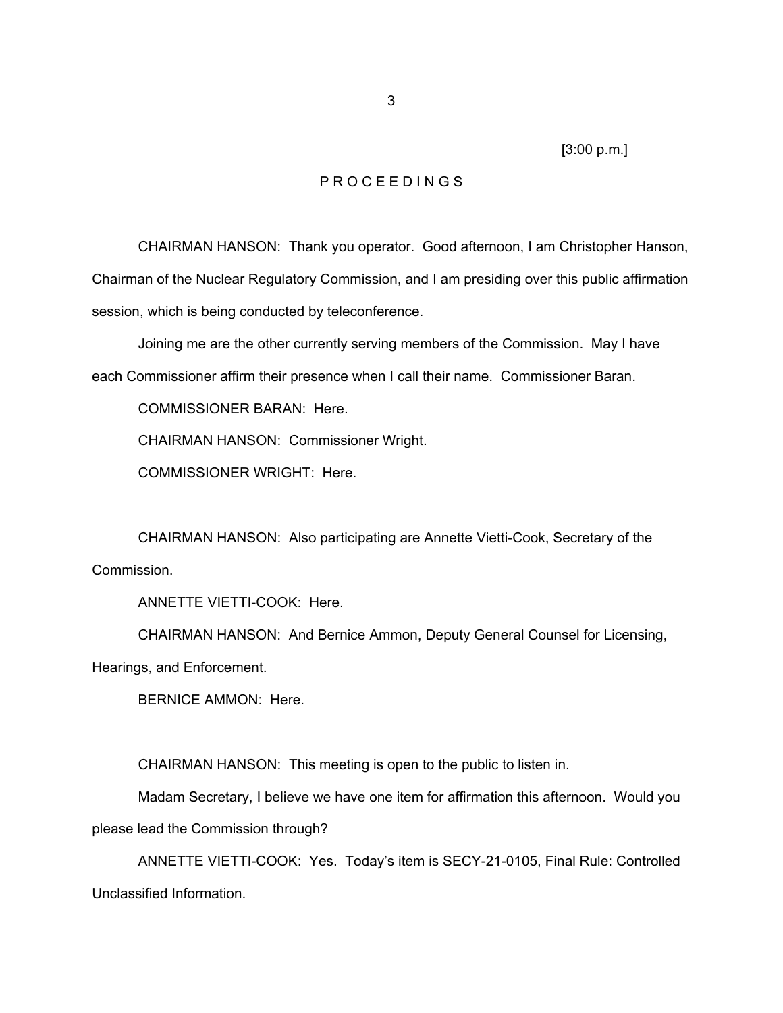[3:00 p.m.]

# P R O C E E D I N G S

 CHAIRMAN HANSON: Thank you operator. Good afternoon, I am Christopher Hanson, Chairman of the Nuclear Regulatory Commission, and I am presiding over this public affirmation session, which is being conducted by teleconference.

 Joining me are the other currently serving members of the Commission. May I have each Commissioner affirm their presence when I call their name. Commissioner Baran.

COMMISSIONER BARAN: Here.

CHAIRMAN HANSON: Commissioner Wright.

COMMISSIONER WRIGHT: Here.

 CHAIRMAN HANSON: Also participating are Annette Vietti-Cook, Secretary of the Commission.

ANNETTE VIETTI-COOK: Here.

 CHAIRMAN HANSON: And Bernice Ammon, Deputy General Counsel for Licensing, Hearings, and Enforcement.

BERNICE AMMON: Here.

CHAIRMAN HANSON: This meeting is open to the public to listen in.

 Madam Secretary, I believe we have one item for affirmation this afternoon. Would you please lead the Commission through?

 ANNETTE VIETTI-COOK: Yes. Today's item is SECY-21-0105, Final Rule: Controlled Unclassified Information.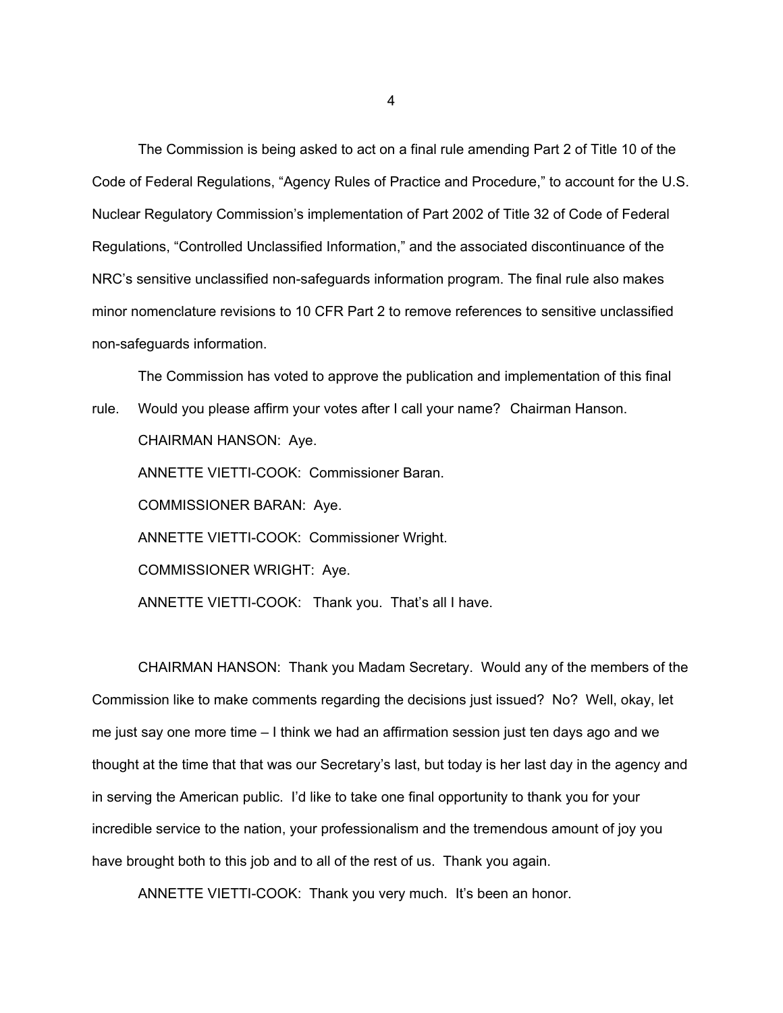The Commission is being asked to act on a final rule amending Part 2 of Title 10 of the Code of Federal Regulations, "Agency Rules of Practice and Procedure," to account for the U.S. Nuclear Regulatory Commission's implementation of Part 2002 of Title 32 of Code of Federal Regulations, "Controlled Unclassified Information," and the associated discontinuance of the NRC's sensitive unclassified non-safeguards information program. The final rule also makes minor nomenclature revisions to 10 CFR Part 2 to remove references to sensitive unclassified non-safeguards information.

 The Commission has voted to approve the publication and implementation of this final rule. Would you please affirm your votes after I call your name? Chairman Hanson. CHAIRMAN HANSON: Aye. ANNETTE VIETTI-COOK: Commissioner Baran. COMMISSIONER BARAN: Aye. ANNETTE VIETTI-COOK: Commissioner Wright. COMMISSIONER WRIGHT: Aye. ANNETTE VIETTI-COOK: Thank you. That's all I have.

 CHAIRMAN HANSON: Thank you Madam Secretary. Would any of the members of the Commission like to make comments regarding the decisions just issued? No? Well, okay, let me just say one more time – I think we had an affirmation session just ten days ago and we thought at the time that that was our Secretary's last, but today is her last day in the agency and in serving the American public. I'd like to take one final opportunity to thank you for your incredible service to the nation, your professionalism and the tremendous amount of joy you have brought both to this job and to all of the rest of us. Thank you again.

ANNETTE VIETTI-COOK: Thank you very much. It's been an honor.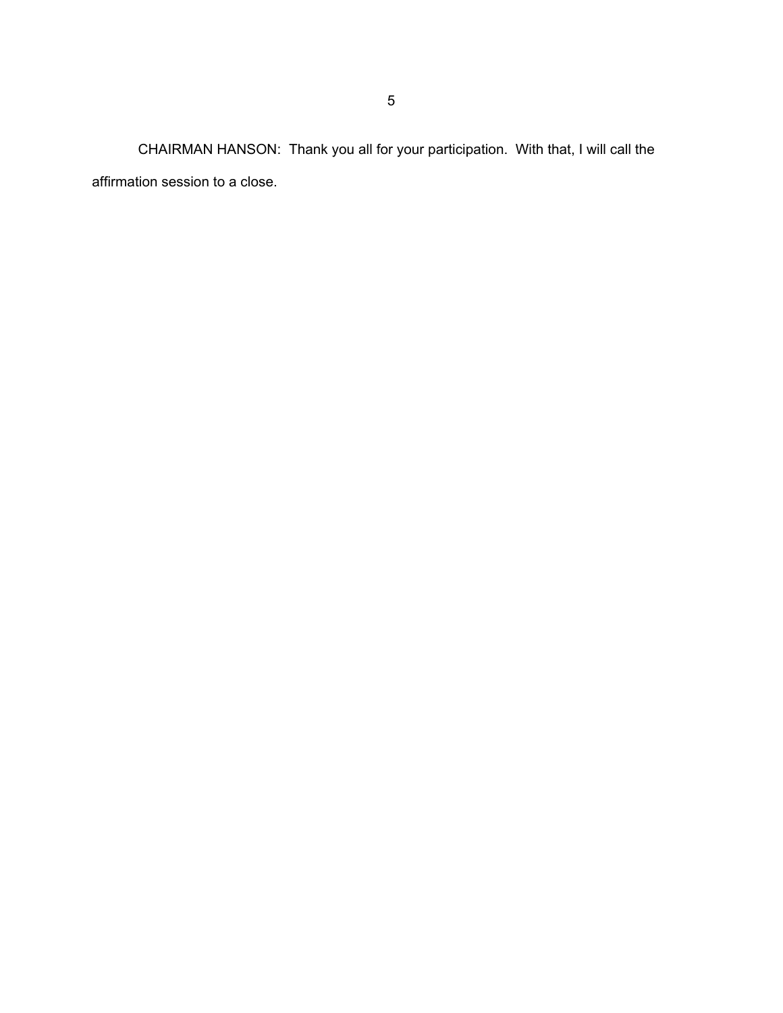CHAIRMAN HANSON: Thank you all for your participation. With that, I will call the affirmation session to a close.